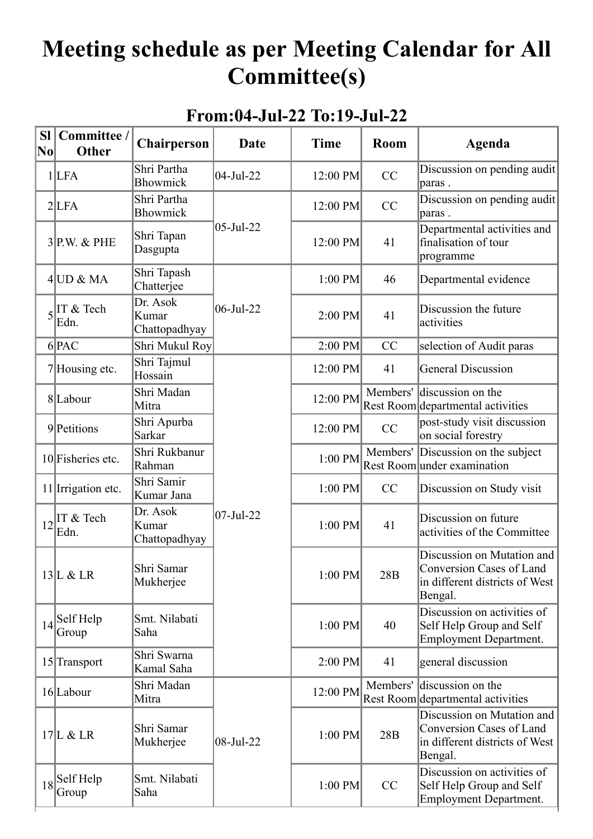## **Meeting schedule as per Meeting Calendar for All Committee(s)**

## **From:04-Jul-22 To:19-Jul-22**

| <b>Sl</b><br>$ \mathbf {No} $ | Committee /<br><b>Other</b>                                                                                      | Chairperson                        | Date                  | <b>Time</b> | Room     | <b>Agenda</b>                                                                                       |
|-------------------------------|------------------------------------------------------------------------------------------------------------------|------------------------------------|-----------------------|-------------|----------|-----------------------------------------------------------------------------------------------------|
|                               | 1 LFA                                                                                                            | Shri Partha<br>Bhowmick            | $ 04-Jul-22 $         | 12:00 PM    | CC       | Discussion on pending audit<br>paras.                                                               |
|                               | 2 LFA                                                                                                            | Shri Partha<br>Bhowmick            |                       | 12:00 PM    | CC       | Discussion on pending audit<br>paras.                                                               |
|                               | $3$ P.W. & PHE                                                                                                   | Shri Tapan<br>Dasgupta             | 05-Jul-22             | 12:00 PM    | 41       | Departmental activities and<br>finalisation of tour<br>programme                                    |
|                               | $4$ UD & MA                                                                                                      | Shri Tapash<br>Chatterjee          |                       | $1:00$ PM   | 46       | Departmental evidence                                                                               |
|                               | $5\left \prod_{r=1}^{n} x \right $ Tech<br>Edn.                                                                  | Dr. Asok<br>Kumar<br>Chattopadhyay | $06$ -Jul-22          | 2:00 PM     | 41       | Discussion the future<br>activities                                                                 |
|                               | 6 PAC                                                                                                            | Shri Mukul Roy                     |                       | 2:00 PM     | CC       | selection of Audit paras                                                                            |
|                               | $7$ Housing etc.                                                                                                 | Shri Tajmul<br>Hossain             |                       | 12:00 PM    | 41       | <b>General Discussion</b>                                                                           |
|                               | 8Labour                                                                                                          | Shri Madan<br>Mitra                |                       | 12:00 PM    | Members' | discussion on the<br>Rest Room departmental activities                                              |
|                               | 9Petitions                                                                                                       | Shri Apurba<br>Sarkar              |                       | 12:00 PM    | CC       | post-study visit discussion<br>on social forestry                                                   |
|                               | 10 Fisheries etc.                                                                                                | Shri Rukbanur<br>Rahman            |                       | 1:00 PM     | Members' | Discussion on the subject<br>Rest Room under examination                                            |
|                               | 11 Irrigation etc.                                                                                               | Shri Samir<br>Kumar Jana           |                       | 1:00 PM     | CC       | Discussion on Study visit                                                                           |
|                               | $12$ $\left  \begin{matrix} \text{T} & \text{&} \text{Tech} \\ \text{T} & \text{&} \end{matrix} \right $<br>Edn. | Dr. Asok<br>Kumar<br>Chattopadhyay | $ 07 - \text{Jul}-22$ | 1:00 PM     | 41       | Discussion on future<br>activities of the Committee                                                 |
|                               | 13L & LR                                                                                                         | Shri Samar<br>Mukherjee            |                       | $1:00$ PM   | 28B      | Discussion on Mutation and<br>Conversion Cases of Land<br>in different districts of West<br>Bengal. |
|                               | $14$ Self Help<br>Group                                                                                          | Smt. Nilabati<br>Saha              |                       | $1:00$ PM   | 40       | Discussion on activities of<br>Self Help Group and Self<br><b>Employment Department.</b>            |
|                               | $15$ <sup>Transport</sup>                                                                                        | Shri Swarna<br>Kamal Saha          |                       | 2:00 PM     | 41       | general discussion                                                                                  |
|                               | 16 Labour                                                                                                        | Shri Madan<br>Mitra                |                       | 12:00 PM    | Members' | discussion on the<br>Rest Room departmental activities                                              |
|                               | $17$ L & LR                                                                                                      | Shri Samar<br>Mukherjee            | $ 08-Ju1-22$          | $1:00$ PM   | 28B      | Discussion on Mutation and<br>Conversion Cases of Land<br>in different districts of West<br>Bengal. |
|                               | $18$ Self Help<br>Group                                                                                          | Smt. Nilabati<br>Saha              |                       | $1:00$ PM   | CC       | Discussion on activities of<br>Self Help Group and Self<br><b>Employment Department.</b>            |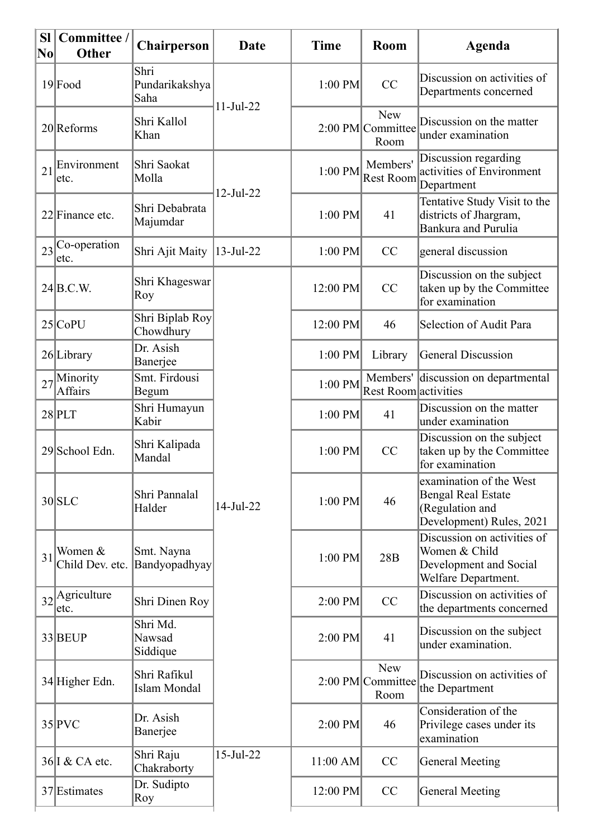| <b>Sl</b><br>$ {\bf N}{\bf o} $ | Committee /<br>Other                 | <b>Chairperson</b>             | Date                   | <b>Time</b> | Room                                    | Agenda                                                                                              |
|---------------------------------|--------------------------------------|--------------------------------|------------------------|-------------|-----------------------------------------|-----------------------------------------------------------------------------------------------------|
|                                 | $19$ Food                            | Shri<br>Pundarikakshya<br>Saha |                        | $1:00$ PM   | CC                                      | Discussion on activities of<br>Departments concerned                                                |
|                                 | 20 Reforms                           | Shri Kallol<br>Khan            | $11 - \text{Jul} - 22$ |             | <b>New</b><br>2:00 PM Committee<br>Room | Discussion on the matter<br>under examination                                                       |
| 21                              | Environment<br>etc.                  | Shri Saokat<br>Molla           | $12-Jul-22$            | 1:00 PM     | Members'<br><b>Rest Room</b>            | Discussion regarding<br>activities of Environment<br>Department                                     |
|                                 | 22 Finance etc.                      | Shri Debabrata<br>Majumdar     |                        | $1:00$ PM   | 41                                      | Tentative Study Visit to the<br>districts of Jhargram,<br><b>Bankura and Purulia</b>                |
|                                 | $23$ <sup>Co-operation</sup><br>etc. | Shri Ajit Maity                | $13 - Jul - 22$        | $1:00$ PM   | CC                                      | general discussion                                                                                  |
|                                 | 24 B.C.W.                            | Shri Khageswar<br>Roy          | 14-Jul-22              | 12:00 PM    | CC                                      | Discussion on the subject<br>taken up by the Committee<br>for examination                           |
|                                 | $25$ CoPU                            | Shri Biplab Roy<br>Chowdhury   |                        | 12:00 PM    | 46                                      | Selection of Audit Para                                                                             |
|                                 | 26 Library                           | Dr. Asish<br>Banerjee          |                        | $1:00$ PM   | Library                                 | <b>General Discussion</b>                                                                           |
| 27                              | Minority<br><b>Affairs</b>           | Smt. Firdousi<br>Begum         |                        | $1:00$ PM   | Rest Room activities                    | Members' discussion on departmental                                                                 |
|                                 | $28$ PLT                             | Shri Humayun<br>Kabir          |                        | $1:00$ PM   | 41                                      | Discussion on the matter<br>under examination                                                       |
|                                 | 29 School Edn.                       | Shri Kalipada<br>Mandal        |                        | $1:00$ PM   | CC                                      | Discussion on the subject<br>taken up by the Committee<br>for examination                           |
|                                 | 30 SLC                               | Shri Pannalal<br>Halder        |                        | 1:00 PM     | 46                                      | examination of the West<br><b>Bengal Real Estate</b><br>(Regulation and<br>Development) Rules, 2021 |
| 31                              | Women &<br>Child Dev. etc.           | Smt. Nayna<br>Bandyopadhyay    |                        | $1:00$ PM   | 28B                                     | Discussion on activities of<br>Women & Child<br>Development and Social<br>Welfare Department.       |
|                                 | $32$ <sup>Agriculture</sup><br>etc.  | Shri Dinen Roy                 |                        | $2:00$ PM   | CC                                      | Discussion on activities of<br>the departments concerned                                            |
|                                 | 33 BEUP                              | Shri Md.<br>Nawsad<br>Siddique |                        | $2:00$ PM   | 41                                      | Discussion on the subject<br>under examination.                                                     |
|                                 | 34 Higher Edn.                       | Shri Rafikul<br>Islam Mondal   |                        |             | New<br>2:00 PM Committee<br>Room        | Discussion on activities of<br>the Department                                                       |
|                                 | $35$ PVC                             | Dr. Asish<br>Banerjee          |                        | $2:00$ PM   | 46                                      | Consideration of the<br>Privilege cases under its<br>examination                                    |
|                                 | 36 I & CA etc.                       | Shri Raju<br>Chakraborty       | $15$ -Jul-22           | $11:00$ AM  | CC                                      | <b>General Meeting</b>                                                                              |
|                                 | 37 Estimates                         | Dr. Sudipto<br>Roy             |                        | 12:00 PM    | CC                                      | General Meeting                                                                                     |